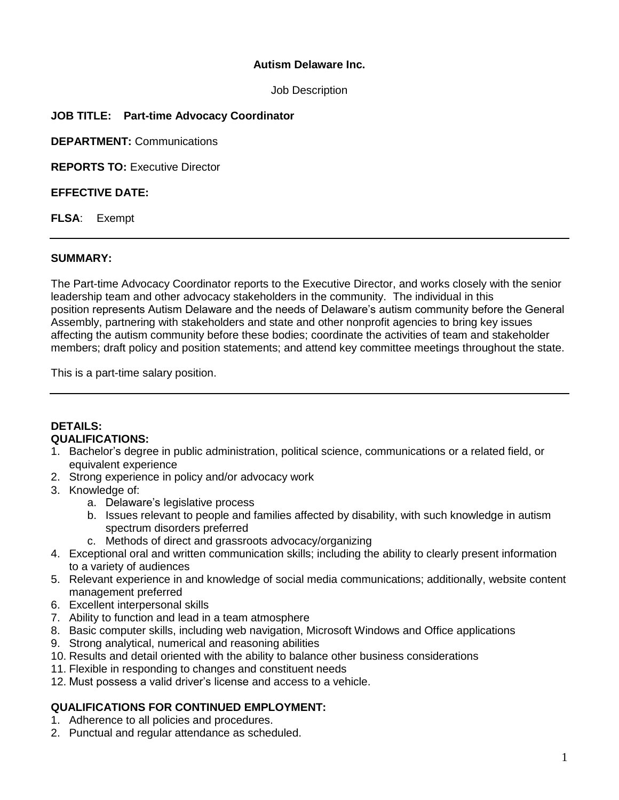#### **Autism Delaware Inc.**

Job Description

## **JOB TITLE: Part-time Advocacy Coordinator**

**DEPARTMENT:** Communications

**REPORTS TO:** Executive Director

#### **EFFECTIVE DATE:**

**FLSA**: Exempt

#### **SUMMARY:**

The Part-time Advocacy Coordinator reports to the Executive Director, and works closely with the senior leadership team and other advocacy stakeholders in the community. The individual in this position represents Autism Delaware and the needs of Delaware's autism community before the General Assembly, partnering with stakeholders and state and other nonprofit agencies to bring key issues affecting the autism community before these bodies; coordinate the activities of team and stakeholder members; draft policy and position statements; and attend key committee meetings throughout the state.

This is a part-time salary position.

#### **DETAILS: QUALIFICATIONS:**

- 1. Bachelor's degree in public administration, political science, communications or a related field, or equivalent experience
- 2. Strong experience in policy and/or advocacy work
- 3. Knowledge of:
	- a. Delaware's legislative process
	- b. Issues relevant to people and families affected by disability, with such knowledge in autism spectrum disorders preferred
	- c. Methods of direct and grassroots advocacy/organizing
- 4. Exceptional oral and written communication skills; including the ability to clearly present information to a variety of audiences
- 5. Relevant experience in and knowledge of social media communications; additionally, website content management preferred
- 6. Excellent interpersonal skills
- 7. Ability to function and lead in a team atmosphere
- 8. Basic computer skills, including web navigation, Microsoft Windows and Office applications
- 9. Strong analytical, numerical and reasoning abilities
- 10. Results and detail oriented with the ability to balance other business considerations
- 11. Flexible in responding to changes and constituent needs
- 12. Must possess a valid driver's license and access to a vehicle.

## **QUALIFICATIONS FOR CONTINUED EMPLOYMENT:**

- 1. Adherence to all policies and procedures.
- 2. Punctual and regular attendance as scheduled.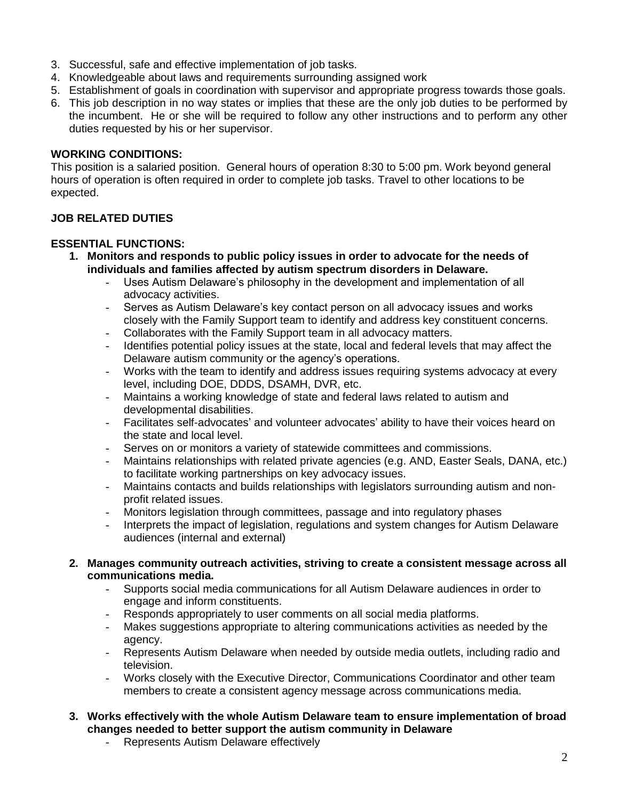- 3. Successful, safe and effective implementation of job tasks.
- 4. Knowledgeable about laws and requirements surrounding assigned work
- 5. Establishment of goals in coordination with supervisor and appropriate progress towards those goals.
- 6. This job description in no way states or implies that these are the only job duties to be performed by the incumbent. He or she will be required to follow any other instructions and to perform any other duties requested by his or her supervisor.

#### **WORKING CONDITIONS:**

This position is a salaried position. General hours of operation 8:30 to 5:00 pm. Work beyond general hours of operation is often required in order to complete job tasks. Travel to other locations to be expected.

# **JOB RELATED DUTIES**

## **ESSENTIAL FUNCTIONS:**

- **1. Monitors and responds to public policy issues in order to advocate for the needs of individuals and families affected by autism spectrum disorders in Delaware.**
	- Uses Autism Delaware's philosophy in the development and implementation of all advocacy activities.
	- Serves as Autism Delaware's key contact person on all advocacy issues and works closely with the Family Support team to identify and address key constituent concerns.
	- Collaborates with the Family Support team in all advocacy matters.
	- Identifies potential policy issues at the state, local and federal levels that may affect the Delaware autism community or the agency's operations.
	- Works with the team to identify and address issues requiring systems advocacy at every level, including DOE, DDDS, DSAMH, DVR, etc.
	- Maintains a working knowledge of state and federal laws related to autism and developmental disabilities.
	- Facilitates self-advocates' and volunteer advocates' ability to have their voices heard on the state and local level.
	- Serves on or monitors a variety of statewide committees and commissions.
	- Maintains relationships with related private agencies (e.g. AND, Easter Seals, DANA, etc.) to facilitate working partnerships on key advocacy issues.
	- Maintains contacts and builds relationships with legislators surrounding autism and nonprofit related issues.
	- Monitors legislation through committees, passage and into regulatory phases
	- Interprets the impact of legislation, regulations and system changes for Autism Delaware audiences (internal and external)

#### **2. Manages community outreach activities, striving to create a consistent message across all communications media.**

- Supports social media communications for all Autism Delaware audiences in order to engage and inform constituents.
- Responds appropriately to user comments on all social media platforms.
- Makes suggestions appropriate to altering communications activities as needed by the agency.
- Represents Autism Delaware when needed by outside media outlets, including radio and television.
- Works closely with the Executive Director, Communications Coordinator and other team members to create a consistent agency message across communications media.
- **3. Works effectively with the whole Autism Delaware team to ensure implementation of broad changes needed to better support the autism community in Delaware**
	- Represents Autism Delaware effectively